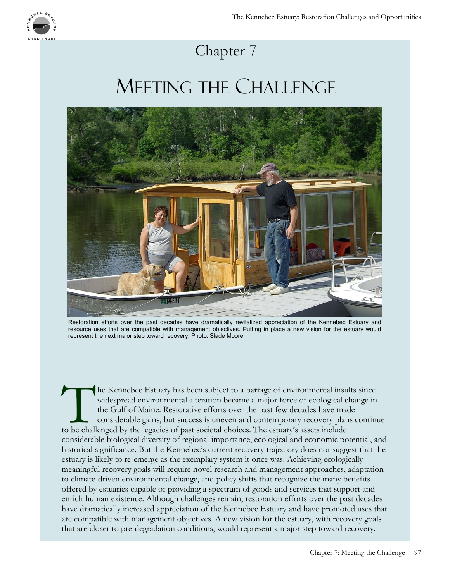

## Chapter 7

## MEETING THE CHALLENGE



Restoration efforts over the past decades have dramatically revitalized appreciation of the Kennebec Estuary and resource uses that are compatible with management objectives. Putting in place a new vision for the estuary would represent the next major step toward recovery. Photo: Slade Moore.

The Kennebec Estuary has been subject to a barrage of environmental insurfacients widespread environmental alteration became a major force of ecological choices. The Gulf of Maine. Restorative efforts over the past few dec he Kennebec Estuary has been subject to a barrage of environmental insults since widespread environmental alteration became a major force of ecological change in the Gulf of Maine. Restorative efforts over the past few decades have made considerable gains, but success is uneven and contemporary recovery plans continue considerable biological diversity of regional importance, ecological and economic potential, and historical significance. But the Kennebec's current recovery trajectory does not suggest that the estuary is likely to re-emerge as the exemplary system it once was. Achieving ecologically meaningful recovery goals will require novel research and management approaches, adaptation to climate-driven environmental change, and policy shifts that recognize the many benefits offered by estuaries capable of providing a spectrum of goods and services that support and enrich human existence. Although challenges remain, restoration efforts over the past decades have dramatically increased appreciation of the Kennebec Estuary and have promoted uses that are compatible with management objectives. A new vision for the estuary, with recovery goals that are closer to pre-degradation conditions, would represent a major step toward recovery.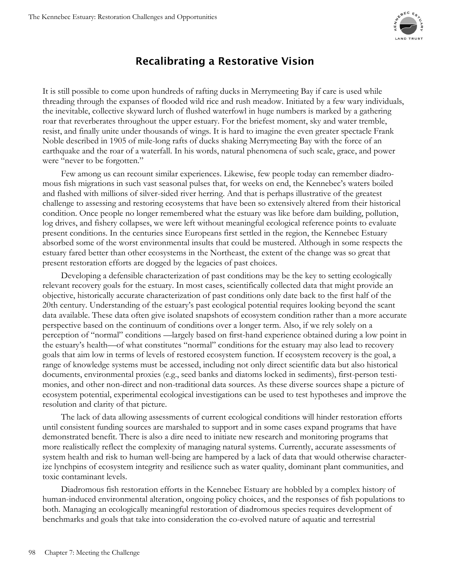

## **Recalibrating a Restorative Vision**

It is still possible to come upon hundreds of rafting ducks in Merrymeeting Bay if care is used while threading through the expanses of flooded wild rice and rush meadow. Initiated by a few wary individuals, the inevitable, collective skyward lurch of flushed waterfowl in huge numbers is marked by a gathering roar that reverberates throughout the upper estuary. For the briefest moment, sky and water tremble, resist, and finally unite under thousands of wings. It is hard to imagine the even greater spectacle Frank Noble described in 1905 of mile-long rafts of ducks shaking Merrymeeting Bay with the force of an earthquake and the roar of a waterfall. In his words, natural phenomena of such scale, grace, and power were "never to be forgotten."

Few among us can recount similar experiences. Likewise, few people today can remember diadromous fish migrations in such vast seasonal pulses that, for weeks on end, the Kennebec's waters boiled and flashed with millions of silver-sided river herring. And that is perhaps illustrative of the greatest challenge to assessing and restoring ecosystems that have been so extensively altered from their historical condition. Once people no longer remembered what the estuary was like before dam building, pollution, log drives, and fishery collapses, we were left without meaningful ecological reference points to evaluate present conditions. In the centuries since Europeans first settled in the region, the Kennebec Estuary absorbed some of the worst environmental insults that could be mustered. Although in some respects the estuary fared better than other ecosystems in the Northeast, the extent of the change was so great that present restoration efforts are dogged by the legacies of past choices.

Developing a defensible characterization of past conditions may be the key to setting ecologically relevant recovery goals for the estuary. In most cases, scientifically collected data that might provide an objective, historically accurate characterization of past conditions only date back to the first half of the 20th century. Understanding of the estuary's past ecological potential requires looking beyond the scant data available. These data often give isolated snapshots of ecosystem condition rather than a more accurate perspective based on the continuum of conditions over a longer term. Also, if we rely solely on a perception of "normal" conditions —largely based on first-hand experience obtained during a low point in the estuary's health—of what constitutes "normal" conditions for the estuary may also lead to recovery goals that aim low in terms of levels of restored ecosystem function. If ecosystem recovery is the goal, a range of knowledge systems must be accessed, including not only direct scientific data but also historical documents, environmental proxies (e.g., seed banks and diatoms locked in sediments), first-person testimonies, and other non-direct and non-traditional data sources. As these diverse sources shape a picture of ecosystem potential, experimental ecological investigations can be used to test hypotheses and improve the resolution and clarity of that picture.

The lack of data allowing assessments of current ecological conditions will hinder restoration efforts until consistent funding sources are marshaled to support and in some cases expand programs that have demonstrated benefit. There is also a dire need to initiate new research and monitoring programs that more realistically reflect the complexity of managing natural systems. Currently, accurate assessments of system health and risk to human well-being are hampered by a lack of data that would otherwise characterize lynchpins of ecosystem integrity and resilience such as water quality, dominant plant communities, and toxic contaminant levels.

Diadromous fish restoration efforts in the Kennebec Estuary are hobbled by a complex history of human-induced environmental alteration, ongoing policy choices, and the responses of fish populations to both. Managing an ecologically meaningful restoration of diadromous species requires development of benchmarks and goals that take into consideration the co-evolved nature of aquatic and terrestrial